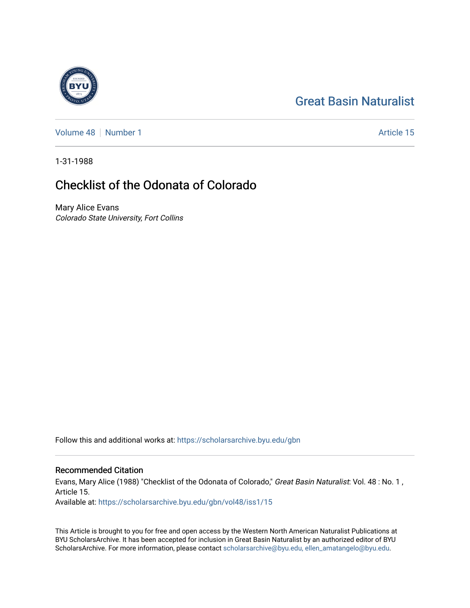# [Great Basin Naturalist](https://scholarsarchive.byu.edu/gbn)

[Volume 48](https://scholarsarchive.byu.edu/gbn/vol48) [Number 1](https://scholarsarchive.byu.edu/gbn/vol48/iss1) Article 15

1-31-1988

## Checklist of the Odonata of Colorado

Mary Alice Evans Colorado State University, Fort Collins

Follow this and additional works at: [https://scholarsarchive.byu.edu/gbn](https://scholarsarchive.byu.edu/gbn?utm_source=scholarsarchive.byu.edu%2Fgbn%2Fvol48%2Fiss1%2F15&utm_medium=PDF&utm_campaign=PDFCoverPages) 

### Recommended Citation

Evans, Mary Alice (1988) "Checklist of the Odonata of Colorado," Great Basin Naturalist: Vol. 48 : No. 1, Article 15.

Available at: [https://scholarsarchive.byu.edu/gbn/vol48/iss1/15](https://scholarsarchive.byu.edu/gbn/vol48/iss1/15?utm_source=scholarsarchive.byu.edu%2Fgbn%2Fvol48%2Fiss1%2F15&utm_medium=PDF&utm_campaign=PDFCoverPages) 

This Article is brought to you for free and open access by the Western North American Naturalist Publications at BYU ScholarsArchive. It has been accepted for inclusion in Great Basin Naturalist by an authorized editor of BYU ScholarsArchive. For more information, please contact [scholarsarchive@byu.edu, ellen\\_amatangelo@byu.edu.](mailto:scholarsarchive@byu.edu,%20ellen_amatangelo@byu.edu)

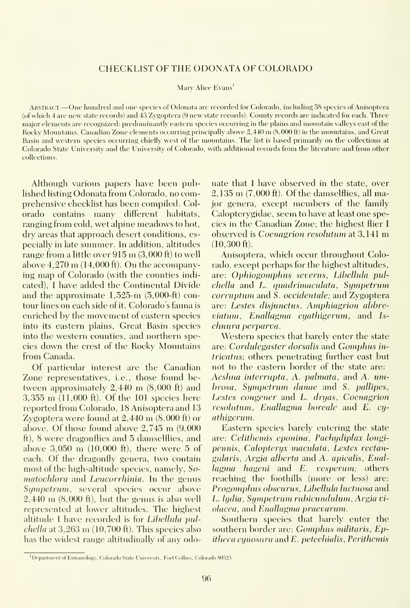### CHECKLIST OF THE ODONATA OF COLORADO

Mary Alice Evans<sup>1</sup>

Abstract.—One hundred and one species of Odonata are recorded for Colorado, including <sup>58</sup> species of Anisoptera (ofwhich 4 are new state records) and 43 Zygoptera (9 new state records). County records are indicated for each. Three major elements are recognized; predominantly eastern species occurring in the plains and mountain valleys east of the Rocky Mountains, Canadian Zone elements occurring principally above 2,440 m (8,000 ft) in the mountains, and Great Basin and western species occurring chiefly west of the mountains. The list is based primarily on the collections at Colorado State University and the University of Colorado, with additional records from the literature and from other collections.

Although various papers have been published listing Odonata from Colorado, no comprehensive checklist has been compiled. Colorado contains many different habitats, ranging from cold, wet alpine meadows to hot, dry areas that approach desert conditions, es pecially in late summer. In addition, altitudes range from <sup>a</sup> little over <sup>915</sup> m (3,000 ft) to well above  $4,270 \text{ m}$  (14,000 ft). On the accompanying map of Colorado (with the counties indi cated), <sup>I</sup> have added the Continental Divide and the approximate 1,525-m (5,000-ft) contour lines on each side of it. Colorado's fauna isenriched by the movement of eastern species into its eastern plains, Great Basin species into the western counties, and northern species down the crest of the Rocky Mountains from Canada.

Of particular interest are the Canadian Zone representatives, i.e., those found between approximately  $2,440$  m  $(8,000 \text{ ft})$  and 3,355 m (11,000 ft). Of the <sup>101</sup> species here reported from Colorado, 18 Anisoptera and 13 Zygoptera were found at 2,440 m (8,000 ft) or above. Of those found above 2,745 m (9,000 ft), 8 were dragonflies and 5 damselflies, and above 3,050 m (10,000 ft), there were <sup>5</sup> of each. Of the dragonfly genera, two contain most of the high-altitude species, namely, So matochlora and Leucorrhinia. In the genus Sympetrum, several species occur above  $2,440$  m  $(8,000 \text{ ft})$ , but the genus is also well represented at lower altitudes. The highest altitude I have recorded is for Libellula pul $chella$  at 3,263 m (10,700 ft). This species also has the widest range altitudinally of any odonate that <sup>I</sup> have observed in the state, over 2,135 m (7,000 ft). Of the damselflies, all major genera, except members of the family Calopterygidae, seem to have at least one species in the Canadian Zone; the highest flier <sup>I</sup> observed is *Coenagrion resolutum* at 3,141 m (10,300 ft).

Anisoptera, which occur throughout Colorado, except perhaps for the highest altitudes, are: Ophiogomphus severus, Libellula pulchella and L. quadrimaculata, Sympetrum corruptum and S. occidentale; and Zygoptera are: Lestes disjunctus, Amphiagrion abbreviatum, Enallagma cyathigerum, and Is chnura perparva.

Western species that barely enter the state are: Cordulegaster dorsalis and Gomphus in*tricatus*; others penetrating further east but not to the eastern border of the state are: Aeshna interrupta, A. palmata, and A. umbrosa, Sympetrum dmiae and S. pallipes, Lestes congener and L. dryas, Coenagrion resolutum, Enallagma boreale and E. cyathigerum.

Eastern species barely entering the state are: Celithemis eponina. Pachydiplax longipennis, Calopteryx maculata, Lestes rectangularis, Argia alberta and A. apicalis, Enallagma hageni and E. vesperum; others reaching the foothills (more or less) are: Progomphus obscurus, Libellula luctuosa and L. ludia, Sympetrum rubicundulum, Argia violaeea, and Enallagma praevarum.

Southern species that barely enter the southern border are: Gomphus militaris, Ep $i$ theca cunosura and  $E$ , petechialis, Perithemis

<sup>&</sup>lt;sup>1</sup>Department of Entomology, Colorado State University, Fort Collins, Colorado 80523.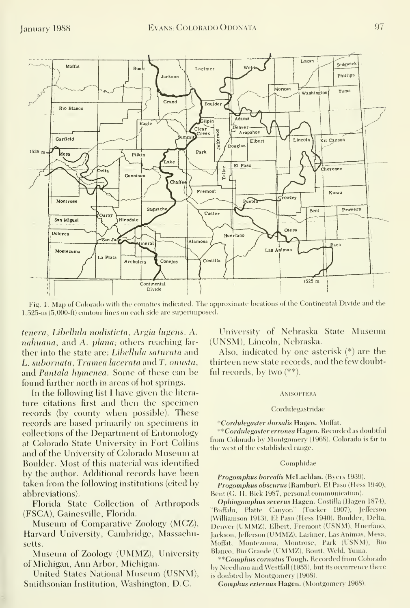

Fig. 1. Map of Colorado with the counties indicated. The approximate locations of the Continental Divide and the 1,525-ni (5,000-ft) contour lines on each side are superimposed.

tenera, Libellula nodisticta, Argia lugens, A. nahuana, and A. plana; others reaching farther into the state are: *Libellula saturata* and L. subornata, Tramea lacerata and T. onusta, and Pantala hymenea. Some of these can be found further north in areas of hot springs.

In the following list <sup>I</sup> have given the litera ture citations first and then the specimen records (by county when possible). These records are based primarily on specimens in collections of the Department of Entomology at Colorado State University in Fort Collins and of the University of Colorado Museum at Boulder. Most of this material was identified by the author. Additional records have been taken from the following institutions (cited by abbreviations).

Florida State Collection of Arthropods (FSCA), Gainesville, Florida.

Museum of Comparative Zoology (MCZ), Harvard University, Cambridge, Massachusetts.

Museum of Zoology (UMMZ), University of Michigan, Ann Arbor, Michigan.

United States National Museum (USNM), Smithsonian Institution, Washington, D.C.

University of Nebraska State Museum (UNSM), Lincoln, Nebraska.

Also, indicated by one asterisk (\*) are the thirteen new state records, and the few doubtful records, by two (\*\*).

#### **ANISOPTERA**

#### Cordulegastridae

\*Cordulegaster dorsalis Hagen. Moffat.

\*\*Cordulegaster erronea Hagen. Recorded as doubtful from Colorado by Montgomery (1968). Colorado is far to the west of the established range.

#### Gomphidae

Progomphus borealis McLachlan. (Byers 1939).

Progomphus obscurus (Rambur). El Paso (Hess 1940), Bent (G. H. Bick 1987, personal communication).

Ophiogomphus severus Hagen. Costilla (Hagen 1874), "Buffalo, Platte Canyon" (Tucker 1907), Jefferson (Williamson 1913), El Paso (Hess 1940). Boulder, Delta, Denver (UMMZ), Elbert, Fremont (USNM), Huerfano, Jackson, Jefferson (UMMZ), Larimer, Las Animas, Mesa, Moffat, Montezuma, Montrose, Park (USNM), Rio Blanco, Rio Grande (UMMZ), Routt, Weld, Yuma.

\*\*Gomphus cornutus Tough. Recorded from Colorado by Needham and Westfall (1955), but its occurrence there is doubted by Montgomery (1968).

Gomphus externus Hagen. (Montgomery 1968).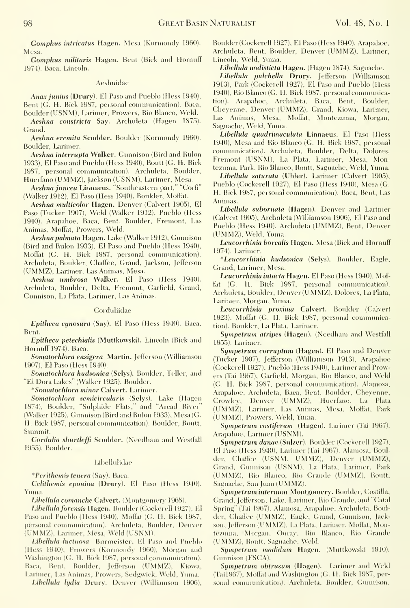Gomphus intricatus Hagen. Mesa (Kormondy 1960). Mesa.

Gomphus militaris Hagen. Bent (Bick and Hornuff 1974). Baca, Lincoln.

#### Aeshnidae

Anax Junius (Drury). El Paso and Pueblo (Hess 1940), Bent (G. H. Bick 1987, personal communication). Baca, Boulder (USNM), Larimer, Prowers, Rio Blanco, Weld.

Aeshna constricta Say. Archuleta (Hagen 1875). Grand.

Aeshna eremita Scudder. Boulder (Kormondy 1960). Boulder, Larimer.

Aeshna interrupta Walker. Gunnison (Bird and Rulon 1933), El Paso and Pueblo (Hess 1940), Routt (G. H. Bick 1987, personal communication). Archuleta, Boulder, Huerfano (UMMZ), Jackson (USNM), Larimer, Mesa.

Aeshna juncea Linnaeus. "Southeastern part," "Corfi" (Walker 1912), El Paso (Hess 1940). Boulder, Moffat.

Aeshna multicolor Hagen. Denver (Calvert 1905), El Paso (Tucker 1907), Weld (Walker 1912), Pueblo (Hess 1940). Arapahoe, Baca, Bent, Boulder, Fremont, Las Animas, Moffat, Prowers, Weld.

Aeshna palmata Hagen. Lake (Walker 1912), Gunnison (Bird and Rulon 1933), El Paso and Pueblo (Hess 1940), Moffat (G. H. Bick 1987, personal communication). Archuleta, Boulder, Chaffee, Grand, Jackson, Jefferson (UMMZ), Larimer, Las Animas, Mesa.

Aeshna umbrosa Walker. El Paso (Hess 1940). Archuleta, Boulder, Delta, Fremont, Garfield, Grand, Gunnison, La Plata, Larimer, Las Animas.

#### Corduliidae

Epitheca cynosura (Say). El Paso (Hess 1940). Baca, Bent.

Epitheca petechialis (Muttkowski). Lincoln (Bick and Hornuff 1974). Baca.

Somatochlora ensigera Martin. Jefferson (Williamson 1907), El Paso (Hess 1940).

Somatochlora hudsonica (Selys). Boulder, Teller, and "El Dora Lakes" (Walker 1925). Boulder.

\*Somatochlora minor Calvert. Larimer.

Somatochlora semicircularis (Selys). Lake (Hagen 1874), Boulder, "Sulphide Flats," and "Arcad River" (Walker 1925), Gunnison (Bird and Rulon 1933), Mesa (G. H. Bick 1987, personal communication). Boulder, Routt, Svunmit.

Cordulia shurtleffi Scudder. (Needham and Westfall 1955). Boulder.

#### Libellulidae

\*Perithemis tenera (Say). Baca.

Celithemis eponina (Drury). El Paso (Hess 1940). Yuma.

Libellula comanche Calvert. (Montgomery 1968).

Libellula forensis Hagen. Boulder (Cockerell 1927), El Paso and Pueblo (Hess 1940), Moffat (G. H. Bick 1987, personal communication). Archuleta, Boulder, Denver (UMMZ), Larimer, Mesa, Weld (USNM).

Lihellula luctuosa Burmeister. El Paso and Pueblo (Hess 1940), Prowers (Kormondy 1960), Morgan and Washington (G. H. Bick 1987, personal communication). Baca, Bent, Boulder, Jefferson (UMMZ), Kiowa, Larimer, Las Animas, Prowers, Sedgwick, Weld, Yuma.

Lihellula lydia Drury. Denver (Williamson 1906),

Boulder (Cockerell 1927), El Paso (Hess 1940). Arapahoe, Archuleta, Bent, Boulder, Denver (UMMZ), Larimer, Lincoln, Weld, Yuma.

Libellula nodisticta Hagen. (Hagen 1874). Saguache.

Libellula pulchella Drury. Jefferson (Williamson 1913), Park (Cockerell 1927), El Paso and Pueblo (Hess 1940), Rio Blanco (G. H. Bick 1987, personal communication). Arapahoe, Archuleta, Baca, Bent, Boulder, Cheyenne, Denver (UMMZ), Grand, Kiowa, Larimer, Las Animas, Mesa, Moflat, Montezuma, Morgan, Saguache, Weld, Yuma.

Libellula quadrimaculata Linnaeus. El Paso (Hess 1940), Mesa and Rio Blanco (G. H. Bick 1987, personal communication). Archuleta, Boulder, Delta, Dolores, Fremont (USNM), La Plata, Larimer, Mesa, Montezuma, Park, Rio Blanco, Routt, Saguache, Weld, Yuma.

Libellula saturata (Uhler). Larimer (Calvert 1905), Pueblo (Cockerell 1927), El Paso (Hess 1940), Mesa (G. H. Bick 1987, personal communication). Baca, Bent, Las Animas.

Libellula subornata (Hagen). Denver and Larimer (Calvert 1905), Archuleta (Williamson 1906), El Paso and Pueblo (Hess 1940). Archuleta (UMMZ), Bent, Denver (UMMZ), Weld, Yuma.

Leucorrhinia borealis Hagen. Mesa (Bick and Hornuff 1974). Larimer.

\*Leucorrhinia hudsonica (Selys). Boulder, Eagle, Grand, Larimer, Mesa.

Leucorrhinia intacta Hagen. El Paso (Hess 1940), Moffat (G. H. Bick 1987, personal communication). Archuleta, Boulder, Denver (UMMZ), Dolores, La Plata, Larimer, Morgan, Yuma.

Leucorrhinia proxima Calvert. Boulder (Calvert 1923), Moffat (G. H. Bick 1987, personal communication). Boulder, La Plata, Larimer.

Sympetrum atripes (Hagen). (Needham and Westfall 1955). Larimer.

Sympetrum corruplum (Hagen). El Paso and Denver (Tucker 1907), Jefferson (Williamson 1913), Arapahoe (Cockerell 1927), Pueblo (Hess 1940), Larimer and Prowers (Tai 1967), Garfield, Morgan, Rio Blanco, and Weld (G. H. Bick 1987, personal commimication). Alamosa, Arapahoe, Archuleta, Baca, Bent, Boulder, Cheyenne, Crowley, Denver (UMMZ), Huerfano, La' Plata (UMMZ), Larimer, Las Animas, Mesa, Moffit, Park (UMMZ), Prowers, Weld, Yuma.

Sympetrum costiferum (Hagen). Larimer (Tai 1967). Arapahoe, Larimer (USNM).

Sympetrum danae (Sulzer). Boulder (Cockerell 1927), El Paso (Hess 1940), Larimer (Tai 1967). Alamosa, Boulder, Chaffee (USNM. UMMZ), Denver (UMMZ), Grand, Gunnison (USNM), La Plata, Larimer, Park (UMMZ), Rio Blanco, Rio Grande (UMMZ), Routt, Saguache, San Juan (UMMZ).

Sympetrum internum Montgomery. Boulder, Costilla, Grand, Jefferson, Lake, Larimer, Rio Grande, and "Catal" Spring" (Tai 1967). Alamosa, Arapahoe, Archuleta, Boulder, Chaffee (UMMZ), Eagle, Grand, Gunnison, Jackson, Jefferson (UMMZ), La Plata, Larimer, Moffat, Montezuma, Morgan, Ouray, Rio Blanco, Rio Grande (UMMZ), Routt, Saguache, Weld.

Sympetrum madidum Hagen. (Muttkowski 1910). Gunnison (FSCA).

Sympetrum ohtrusum (Hagen). Larimer and Weld (Tai1967), Moffat and Washington (G. H. Bick 1987, personal communication). Archuleta, Boulder, Gunnison,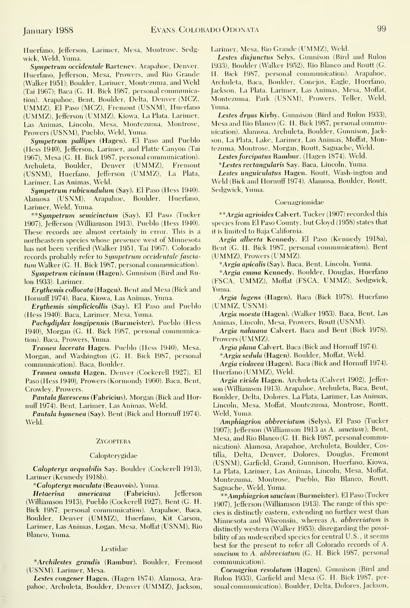Huerfano, Jefferson, Larimer, Mesa, Montrose, Sedgwick, Weld, Yuma.

Sympetrum occidentale Bartenev. Arapahoe, Denver, Huerfano, Jefferson, Mesa, Prowers, and Rio Grande (Walker 1951): Boulder, Larimer, Montezuma, and Weld (Tai 1967); Baca (G. H. Biek 1987, personal communication). Arapahoe, Bent, Boulder, Delta, Denver (MCZ, UMMZ), El Paso (MCZ), Fremont (USNM), Huerfano (UMMZ), Jefferson (UMMZ), Kiowa, La Plata, Larimer, Las Animas, Lincoln, Mesa, Montezuma, Montrose, Prowers (USNM), Pueblo, Weld, Yuma.

Sympetrum pallipes (Hagen). El Paso and Pueblo (Hess 1940), Jefferson, Larimer, and Platte Canyon (Tai 1967), Mesa(G. H. Bick 1987, personal communication). Archuleta, Boulder, Denver (UMMZ), Fremont (USNM), Huerfano, Jefferson (UMMZ), La Plata, Larimer, Las Animas, Weld.

Sympetrum rubicundulum (Say). El Paso (Hess 1940). Alamosa (USNM), Arapahoe, Boulder, Huerfano, Larimer, Weld, Yuma.

\*\*Sijmpetrum semicinctum (Sav). El Paso (Tucker 1907), Jefferson (Williamson 1913), Pueblo (Hess 1940). These records are almost certainly in error. This is a northeastern species whose presence west of Minnesota has not been verified (Walker 1951, Tai 1967). Colorado records probably refer to Sympetrum occidentale fasciatum Walker (G. H. Bick 1987, personal communication).

Sympetrum vicinum (Hagen). Gunnison (Bird and Rulon 1933). Larimer.

Erythemis collocata (Hagen). Bent and Mesa (Bick and Hornuff 1974). Baca, Kiowa, Las Animas, Yuma.

**Erythemis simplicicollis (Say). El Paso and Pueblo** (Hess 1940). Baca, Larimer, Mesa, Yuma.

Pachydiplax longipennis (Burmeister). Pueblo (Hess 1940), Morgan (G. H. Bick 1987, personal communication). Baca, Prowers, Yuma.

Tramea lacerata Hagen. Pueblo (Hess 1940), Mesa, Morgan, and Washington (G. H. Bick 1987, personal commimication). Baca, Boulder.

Tramea onusta Hagen. Denver (Cockerell 1927), El Paso (Hess 1940), Prowers (Kormondy 1960). Baca, Bent, Crowley, Prowers.

Fantala flavescens (Fabricius). Morgan (Bick and Hornuff 1974). Bent, Larimer, Las Animas, Weld.

Pantala hymenea (Say). Bent (Bick and Hornuff 1974). Weld.

#### **ZYGOPTERA**

#### Calopterygidae

Calopteryx aequabilis Say. Boulder (Cockerell 1913), Larimer (Kennedy 1918b).

\*Calopteryx maculata (Beauvois). Yuma.

Hetaerina americana (Fabrieius). Jefferson (Williamson 1913), Pueblo (Cockerell 1927), Bent (G. H. Bick 1987, personal communication). Arapahoe, Baca, Boulder, Denver (UMMZ), Huerfano, Kit Carson, Larimer, Las Animas, Logan, Mesa, Moffat (USNM), Rio Blanco, Yuma.

#### Lestidae

\*Archilestes grandis (Rambur). Boulder, Fremont (USNM). Larimer, Mesa.

Lestes congener Hagen. (Hagen 1874). Alamosa, Ara pahoe, Archuleta, Boulder, Denver (UMMZ), Jackson, Larimer, Mesa, Rio Grande (UMMZ), Weld.

Lestes disjunctus Selys. Gunnison (Bird and Rulon 1933), Boulder (Walker 1952), Rio Blanco and Routt (G. H. Bick 1987, personal communication). Arapahoe, Archuleta, Baca, Boulder, Conejos, Eagle, Huerfano, Jackson, La Plata, Larimer, Las Animas, Mesa, Moffat, Montezuma, Park (USNM), Prowers, Teller, Weld, Yuma.

Lestes dryas Kirby. Gunnison (Bird and Rulon 1933), Mesa and Rio Blanco (G. H. Bick 1987, personal communication). Alamosa, Archuleta, Boulder, Gunnison, Jackson, La Plata, Lake, Larimer, Las Animas, Moffat, Montezuma, Montrose, Morgan, Routt, Saguache, Weld.

Lestes forcipatus Rambur. (Hagen 1874). Weld.

\*Lestes rectangularis Say. Baca, Lincoln, Yuma.

Lestes unguiculatus Hagen. Routt, Wash-ington and Weld (Bick and Hornuff 1974). Alamosa, Boulder, Routt, Sedgwick, Yuma.

#### Coenagrionidae

\*\*Argia agrioides Calvert. Tucker (1907) recorded this species from El Paso County, but Gloyd (1958) states that it is limited to Baja California.

Argia alberta Kennedy. El Paso (Kennedy 1918a), Bent (G. H. Bick 1987, personal communication). Bent (UMMZ), Prowers (UMMZ).

\*Argia apicalis (Say). Baca, Bent, Lincoln, Yuma.

\*Argia emma Kennedy. Boulder, Douglas, Huerfano (FSCA, UMMZ), Moffat (FSCA, UMMZ), Sedgwick, Yuma.

Argia lugens (Hagen). Baca (Bick 1978). Huerfano (UMMZ, USNM).

Argia moesta (Hagen). (Walker 1953). Baca, Bent, Las Animas, Lincoln, Mesa, Prowers, Routt (USNM).

Argia nahuana Calvert. Baca and Bent (Bick 1978). Prowers (UMMZ).

Argia plana Calvert. Baca (Bick and Hornuff 1974).

\* Argia sedula (Hagen). Boulder, Moffat, Weld.

Argia violacea (Hagen). Baca (Bick and Hornuff 1974). Huerfano (UMMZ), Weld.

Argia vivida Hagen. Archuleta (Calvert 1902), Jeffer son (Williamson 1913). Arapahoe, Archuleta, Baca, Bent, Boulder, Delta, Dolores, La Plata, Larimer, Las Animas, Lincoln, Mesa, Moffat, Montezuma, Montrose, Routt, Weld, Yuma.

Amphiagrion abbreviatum (Selys). El Paso (Tucker 1907); Jefferson (Williamson 1913 as A. saucium); Bent, Mesa, and Rio Blanco (G. H. Bick 1987, personal communication). Alamosa, Arapahoe, Archuleta, Boulder, Costilla, Delta, Denver, Dolores, Douglas, Fremont (USNM), Garfield, Grand, Gunnison, Huerfano, Kiowa, La Plata, Larimer, Las Animas, Lincoln, Mesa, Moffat, Montezuma, Montrose, Pueblo, Rio Blanco, Routt, Saguache, Weld, Yuma.

\*\*Amphiagrion saucium (Burmeister). El Paso (Tucker 1907), Jefferson (Williamson 1913). The range of this species is distinctly eastern, extending no further west than Minnesota and Wisconsin, whereas A. abbreviatum is distinctly western (Walker 1953); disregarding the possibility of an undescribed species for central U.S., it seems best for the present to refer all Colorado records of A. saucium to A. abbreviatum (G. H. Bick 1987, personal communication).

Coenagrion resolutum (Hagen). Gunnison (Bird and Rulon 1933), Garfield and Mesa (G. H. Bick 1987, personal communication). Boulder, Delta, Dolores, Jackson,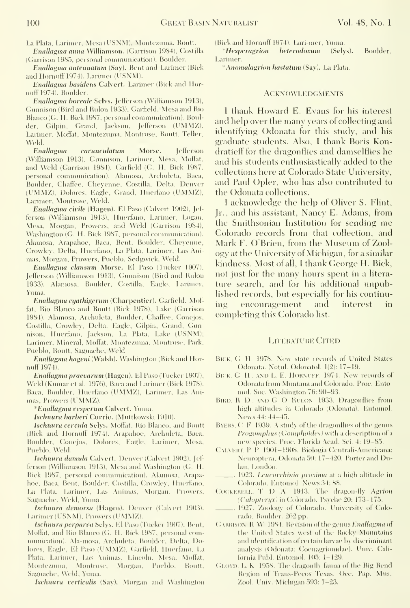La Plata, Larimer, Mesa(USNM), Montezuma, Routt.

Enallagma anna Williamson. (Garrison 1984), Costilla (Garrison 1985, personal communication). Boulder.

Enallagma antennattim (Say). Bent and Larimer (Bick and Hornnff 1974). Larimer (USNM).

Enallagma basidens Calvert. Larimer (Biek and Hornuff 1974). Boulder

Enallagma horeale Selvs. Jefierson (Williamson 1913), Gunnison (Bird and Rulon 1933), Garfield, Mesa and Rio Blanco (G. H. Biek 1987, personal communieation). Boulder, Gilpin, Grand, Jackson, Jefferson (UMMZ), Larimer, Moffat, Montezuma, Montrose, Routt, Teller, Weld.

Enallagma carunculatum Morse. Jefierson (Williamson 1913), Gunnison, Larimer, Mesa, Mofiat, and Weld (Garrison 1984), Garfield (G. H. Bick 1987, personal connnimication). Alamosa, Archuleta, Baca, Boulder, Chaffee, Cheyenne, Costilla, Delta, Denver (UMMZ), Dolores, Eagle, Grand, Huerfano (UMMZ), Larimer, Montrose, Weld.

Enallagma civile (Hagen). El Paso (Calvert 1902), Jef ferson (Williamson 1913), Huerfano, Larimer, Logan, Mesa, Morgan, Prowers, and Weld (Garrison 1984), Washington (G. H. Bick 1987, personal communication). Alamosa, Arapahoe, Baca, Bent, Boulder, Cheyenne, Crowley, Delta, Huerfano, La Plata, Larimer, Las Ani mas, Morgan, Prowers, Puehlo, Sedgwick, Weld.

Enallagma clausum Morse. El Paso (Tucker 1907), Jefferson (Williamson 1913), Gunnison (Bird and Ridon 1933). Alamosa, Boulder, Costilla, Eagle, Larimer, Yuma.

Enallagma cyathigerum (Charpentier). Garfield, Moffat, Rio Blanco and Routt (Bick 1978), Lake (Garrison 1984). Alamosa, Archuleta, Boulder, Chaffee, Conejos, Costilla, Crowley, Delta, Eagle, Gilpin, Grand, Gunnison, Huerfano, Jackson, La Plata, Lake (USNM), Larimer, Mineral, Moffat, Montezuma, Montrose, Park, Pueblo, Routt, Saguache, Weld.

Enallagma hageni (Walsh). Washington (Bick and Hornuff 1974).

Enallagma praevarum (Hagen). El Paso (Tucker 1907), Weld (Kumar et al. 1976), Baca and Larimer (Bick 1978). Baca, Boulder, Huerfano (UMMZ), Larimer, Las Ani mas, Prowers (UMMZ).

\*Enallagma vesperum Calvert. Yuma.

Ischnura barberi Currie. (Muttkowski 1910).

Ischnura cervula Selys. Moffat, Rio Blanco, and Routt (Bick and Hornuff 1974). Arapahoe, Archuleta, Baca, Boulder, Conejos, Dolores, Eagle, Larimer, Mesa, Puehlo, Weld.

Ischnura damula Calvert. Denver (Calvert 1902), Jef ferson (Williamson 1913), Mesa and Washington (G. H. Bick 1987, personal communication). Alamosa, Arapahoe, Baea, Bent, Boulder, Costilla, Crowley, Huerfano, La Plata, Larimer, Las Animas, Morgan, Prowers, Saguache, Weld, Yuma.

Ischnura demorsa (Hagen). Denver (Calvert 1903). Larimer (USNM), Prowers (UMMZ).

Ischnura perparva Selys. El Paso (Tucker 1907), Bent, Moffat, and Rio Blanco (G. H. Bick 1987, personal coni munication). Ala-mosa, Archuleta, Boulder, Delta, Dolores, Eagle, El Paso (UMMZ), Garfield, Huerfano, La Plata, Larimer, Las Animas, Lincoln, Mesa. Moffat, Montezuma, Montrose, Morgan, Pueblo, Routt, Saguache, Weld, Yuma.

Ischnura verticalis (Say). Morgan and Washington

(Bick and Hornnff 1974). Lari-mer, Yuma.

\*Hesperagrion heterodoxum (Selys). Boulder, Larimer.

\*Anomalagrion hastatum (Sav). La Plata.

#### **ACKNOWLEDGMENTS**

I thank Howard E. Evans for his interest and help over the many years of collecting and identifying Odonata for this study, and his graduate students. Also, <sup>I</sup> thank Boris Kondratieff for the dragonflies and daniselflies he and his students enthusiastically added to the collections here at Colorado State University, and Paul Opler, who has also contributed to the Odonata collections.

<sup>I</sup> acknowledge the help of Oliver S. Flint, Jr., and his assistant, Nancy E. Adams, from the Smithsonian Institution for sending me Colorado records from that collection, and Mark F. O Brien, from the Museum of Zoology at the University of Michigan, for a similar kindness. Most of all, <sup>I</sup> thank George H. Bick, not just for the many hours spent in a litera ture search, and for his additional unpublished records, but especially for his continuencouragement and interest in completing this Colorado list.

#### Literature Cited

- BICK, G. H. 1978. New state records of United States Odonata. Notul. Odonatol. 1(2); 17-19.
- BICK. G H . AND L. E. HORNUFF. 1974. New records of Odonata from Montana and Colorado. Proc. Entomol. Soc. Washington 76: 90-93.
- BIRD, R D , AND G O RULON 1933. Dragonflies from high altitudes in Colorado (Odonata). Entomol. News 44: 44-45.
- BYERS. C. F. 1939. A study of the dragonflies of the genus Progomphus (Gomphoides) with a description of a new species. Proc. Florida Acad. Sci. 4: 19-85.
- Caiakht. P P 1901-1908. Biologia Centrali-Americana: Neuroptera, Odonata 50: 17-420. Porter and Dulau, London.
- 1923. Leucorrhinia proxima at a high altitude in Colorado. Entomol. News 34: 88.
- COCKERELL. T  $D \Lambda$  1913. The dragon-fly Agrion (Calopteryx) in Colorado. Psyche 20: 173-175.
- ., 1927. Zoology of Colorado. University of Colorado, Boulder. 262 pp.
- (Jakhison. <sup>R</sup> W 1984. Revision of the genus Enallagma of the United States west of the Rocky Mountains and identification of certain larvae by discriminant analysis (Odonata: Coenagrionidae). Univ. CaliforniaPnhl. Entomol. 105: 1-129.
- GLOYD. L. K 1958. The dragonfly fauna of the Big Bend Region of Trans-Pecos Texas. Occ. Pap. Mus. Zool. Univ. Michigan 593: 1-23.